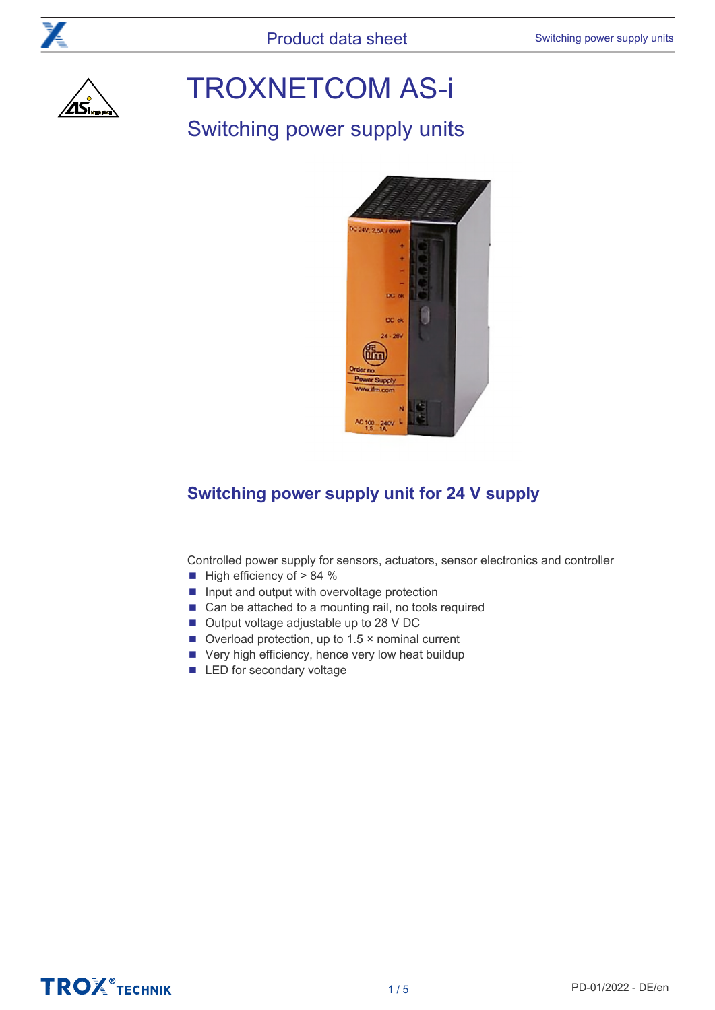

# TROXNETCOM AS-i

# Switching power supply units



## **Switching power supply unit for 24 V supply**

Controlled power supply for sensors, actuators, sensor electronics and controller

- High efficiency of > 84 %
- Input and output with overvoltage protection
- Can be attached to a mounting rail, no tools required
- Output voltage adjustable up to 28 V DC
- Overload protection, up to 1.5 × nominal current
- Very high efficiency, hence very low heat buildup
- LED for secondary voltage

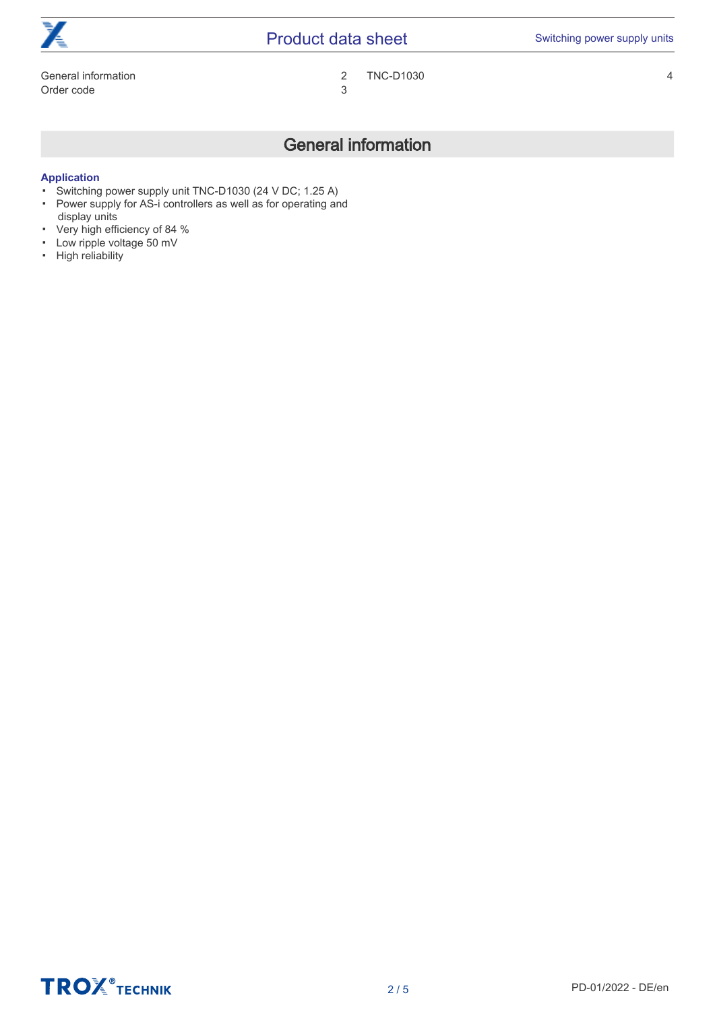| $\mathbf{F}$<br>◢€  | <b>Product data sheet</b> | Switching power supply units |
|---------------------|---------------------------|------------------------------|
| General information | <b>TNC-D1030</b>          |                              |
| Order code          |                           |                              |

### General information

#### <span id="page-1-0"></span>**Application**

- Switching power supply unit TNC-D1030 (24 V DC; 1.25 A)
- Power supply for AS-i controllers as well as for operating and
- display units
- Very high efficiency of 84 %
- Low ripple voltage 50 mV ▪ High reliability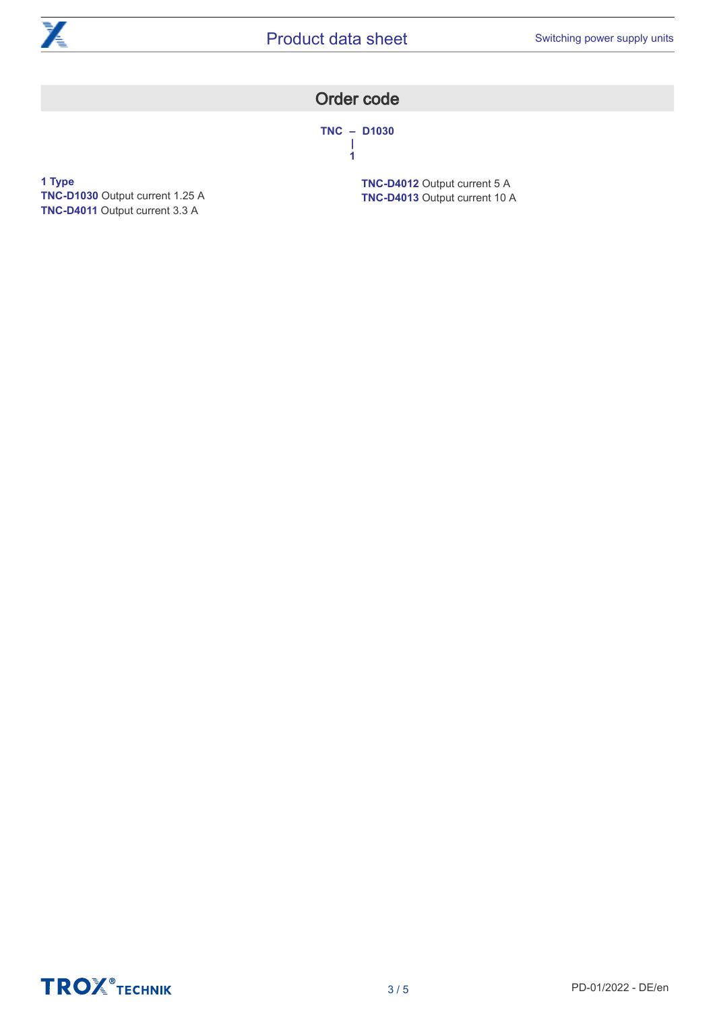<span id="page-2-0"></span>

### Order code

**TNC – D1030 | 1**

**1 Type TNC-D1030** Output current 1.25 A **TNC-D4011** Output current 3.3 A

**TNC-D4012** Output current 5 A **TNC-D4013** Output current 10 A

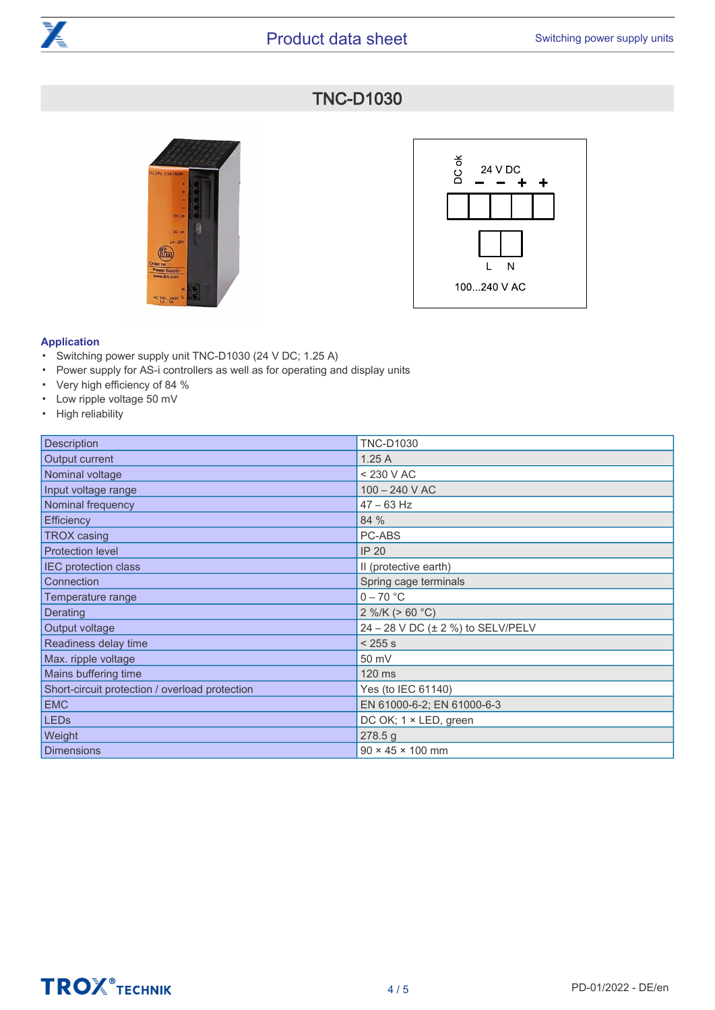<span id="page-3-0"></span>

### TNC-D1030





#### **Application**

- Switching power supply unit TNC-D1030 (24 V DC; 1.25 A)
- Power supply for AS-i controllers as well as for operating and display units
- Very high efficiency of 84 %
- Low ripple voltage 50 mV
- High reliability

| <b>Description</b>                             | <b>TNC-D1030</b>                  |
|------------------------------------------------|-----------------------------------|
| Output current                                 | 1.25A                             |
| Nominal voltage                                | < 230 V AC                        |
| Input voltage range                            | 100 - 240 V AC                    |
| Nominal frequency                              | $47 - 63$ Hz                      |
| <b>Efficiency</b>                              | 84 %                              |
| <b>TROX</b> casing                             | PC-ABS                            |
| <b>Protection level</b>                        | <b>IP 20</b>                      |
| <b>IEC</b> protection class                    | II (protective earth)             |
| <b>Connection</b>                              | Spring cage terminals             |
| Temperature range                              | $0 - 70 °C$                       |
| Derating                                       | $2\%$ /K (> 60 °C)                |
| Output voltage                                 | 24 - 28 V DC (± 2 %) to SELV/PELV |
| Readiness delay time                           | < 255 s                           |
| Max. ripple voltage                            | 50 mV                             |
| Mains buffering time                           | 120 ms                            |
| Short-circuit protection / overload protection | Yes (to IEC 61140)                |
| <b>EMC</b>                                     | EN 61000-6-2; EN 61000-6-3        |
| LED <sub>s</sub>                               | DC OK; 1 × LED, green             |
| Weight                                         | 278.5g                            |
| Dimensions                                     | $90 \times 45 \times 100$ mm      |